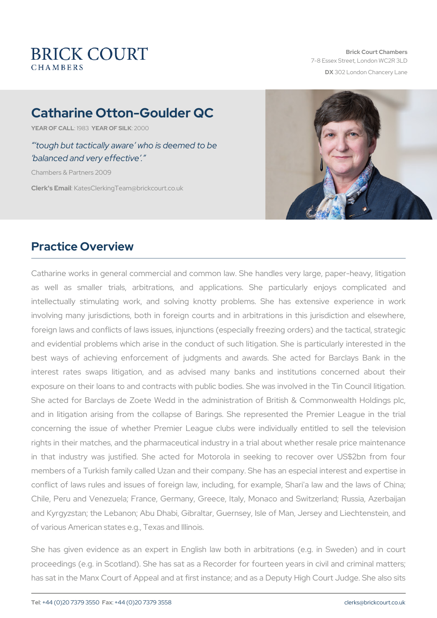# Catharine Otton-Goulder QC

YEAR OF CALLSLATEAR OF SIZLOKOO

 tough but tactically aware who is deemed to be balanced and very effective .

Chambers & Partners 2009

Clerk's EmatesClerkingTeam@brickcourt.co.uk

### Practice Overview

Catharine works in general commercial and common law. She handle as well as smaller trials, arbitrations, and applications. She intellectually stimulating work, and solving knotty problems. Sh involving many jurisdictions, both in foreign courts and in arbitrati foreign laws and conflicts of laws issues, injunctions (especially free and evidential problems which arise in the conduct of such litigatio best ways of achieving enforcement of judgments and awards. She acted for Bank in the acted for Barclays Bank in the acted for Bank in the acted for Bank in the Supersian Industry Bank in the acted for Bank in the Supersia interest rates swaps litigation, and as advised many banks an exposure on their loans to and contracts with public bodies. She was She acted for Barclays de Zoete Wedd in the administration of Bri and in litigation arising from the collapse of Barings. She represent concerning the issue of whether Premier League clubs were indivi rights in their matches, and the pharmaceutical industry in a trial ab in that industry was justified. She acted for Motorola in seeking members of a Turkish family called Uzan and their company. She has conflict of laws rules and issues of foreign law, including, for exam Chile, Peru and Venezuela; France, Germany, Greece, Italy, Monaco and Kyrgyzstan; the Lebanon; Abu Dhabi, Gibraltar, Guernsey, Isle o of various American states e.g., Texas and Illinois.

She has given evidence as an expert in English law both in arbit proceedings (e.g. in Scotland). She has sat as a Recorder for fourte has sat in the Manx Court of Appeal and at first instance; and as a D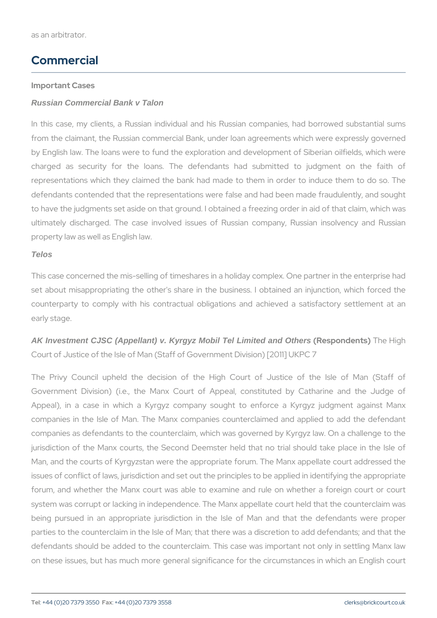### Commercial

Important Cases Russian Commercial Bank v Talon

In this case, my clients, a Russian individual and his Russian com from the claimant, the Russian commercial Bank, under loan agreeme by English law. The loans were to fund the exploration and developm charged as security for the loans. The defendants had subm representations which they claimed the bank had made to them in d defendants contended that the representations were false and had be to have the judgments set aside on that ground. I obtained a freezing ultimately discharged. The case involved issues of Russian company property law as well as English law.

#### Telos

This case concerned the mis-selling of timeshares in a holiday comple set about misappropriating the other's share in the business. I obt counterparty to comply with his contractual obligations and achieved a satisfactory settlement and a satisfactor early stage.

AK Investment CJSC (Appellant) v. Kyrgyz Mobil Tel Limited and Others (Respondentins) High Court of Justice of the Isle of Man (Staff of Government Division) [2011]

The Privy Council upheld the decision of the High Court of J Government Division) (i.e., the Manx Court of Appeal, constitute Appeal), in a case in which a Kyrgyz company sought to enford companies in the Isle of Man. The Manx companies counterclaimed companies as defendants to the counterclaim, which was governed by jurisdiction of the Manx courts, the Second Deemster held that no Man, and the courts of Kyrgyzstan were the appropriate forum. The N issues of conflict of laws, jurisdiction and set out the principles to b forum, and whether the Manx court was able to examine and rule on system was corrupt or lacking in independence. The Manx appellate c being pursued in an appropriate jurisdiction in the Isle of Man and parties to the counterclaim in the Isle of Man; that there was a discretion defendants should be added to the counterclaim. This case was imp on these issues, but has much more general significance for the circumstance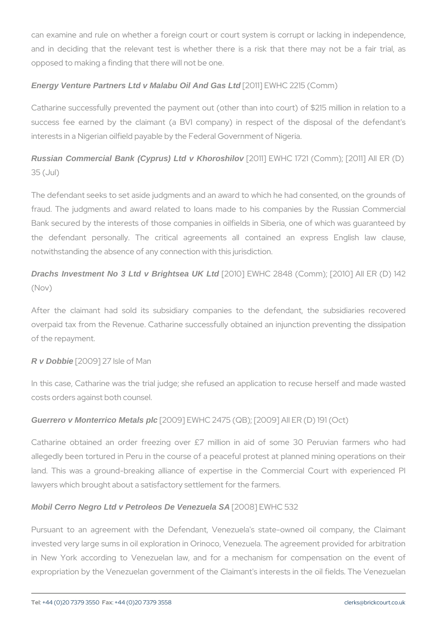can examine and rule on whether a foreign court or court system is and in deciding that the relevant test is whether there is a risk opposed to making a finding that there will not be one.

Energy Venture Partners Ltd v Malabu Oil And Gas Ltd [2011] EWHC 2215 (Comm)

Catharine successfully prevented the payment out (other than into c success fee earned by the claimant (a BVI company) in respect interests in a Nigerian oilfield payable by the Federal Government of

Russ ian Commercial Bank (Cyprus) Ltd v Khoroshilov [2011] EWHC 1721 (Comm); [2011] 35 (Jul)

The defendant seeks to set aside judgments and an award to which he fraud. The judgments and award related to loans made to his com Bank secured by the interests of those companies in oilfields in Sib the defendant personally. The critical agreements all contain notwithstanding the absence of any connection with this jurisdiction.

Drachs Investment No 3 Ltd v Brightsea UK Ltd [2010] EWHC 2848 (Comm); [2010] (Nov)

After the claimant had sold its subsidiary companies to the de overpaid tax from the Revenue. Catharine successfully obtained an i of the repayment.

R v Dobbie [2009] 27 Isle of Man

In this case, Catharine was the trial judge; she refused an applicati costs orders against both counsel.

Guerrero v Monterrico Metals plc [2009] EWHC 2475 (QB); [2009] All ER (D) 191

Catharine obtained an order freezing over  $E7$  million in aid of allegedly been tortured in Peru in the course of a peaceful protest a land. This was a ground-breaking alliance of expertise in the Court lawyers which brought about a satisfactory settlement for the farmers.

Mobil Cerro Negro Ltd v Petroleos De Venezuela SA [2008] EWHC 532

Pursuant to an agreement with the Defendant, Venezuela's stateinvested very large sums in oil exploration in Orinoco, Venezuela. Th in New York according to Venezuelan law, and for a mechanism expropriation by the Venezuelan government of the Claimant's interes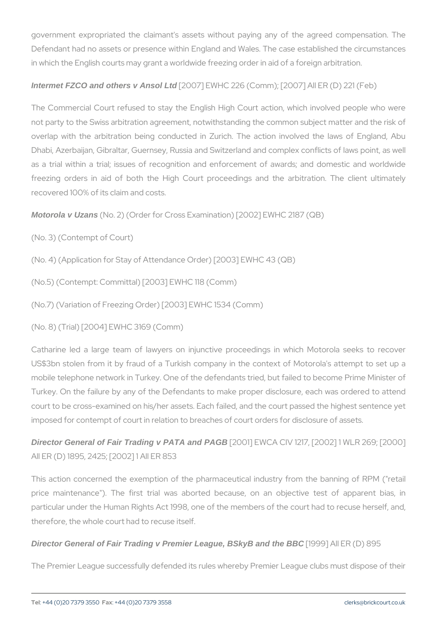government expropriated the claimant's assets without paying any Defendant had no assets or presence within England and Wales. The in which the English courts may grant a worldwide freezing order in ai

Intermet FZCO and others v Ansol Ltd  $[2007]$  EWHC 226 (Comm);  $[2007]$  All ER (D)

The Commercial Court refused to stay the English High Court action, not party to the Swiss arbitration agreement, notwithstanding the com overlap with the arbitration being conducted in Zurich. The action Dhabi, Azerbaijan, Gibraltar, Guernsey, Russia and Switzerland and c as a trial within a trial; issues of recognition and enforcement of freezing orders in aid of both the High Court proceedings and the recovered 100% of its claim and costs.

Motorola v Uzans (No. 2) (Order for Cross Examination) [2002] EWHC 2187

(No. 3) (Contempt of Court)

(No. 4) (Application for Stay of Attendance Order) [2003] EWHC 43 (Q

(No.5) (Contempt: Committal) [2003] EWHC 118 (Comm)

(No.7) (Variation of Freezing Order) [2003] EWHC 1534 (Comm)

(No. 8) (Trial) [2004] EWHC 3169 (Comm)

Catharine led a large team of lawyers on injunctive proceedings US\$3bn stolen from it by fraud of a Turkish company in the contex mobile telephone network in Turkey. One of the defendants tried, but Turkey. On the failure by any of the Defendants to make proper disc court to be cross-examined on his/her assets. Each failed, and the co imposed for contempt of court in relation to breaches of court orders for

Director General of Fair Trading v PATA and PAGB [2001] EWCA CIV 1217, [2002] 1 W All ER (D) 1895, 2425; [2002] 1 All ER 853

This action concerned the exemption of the pharmaceutical industry price maintenance"). The first trial was aborted because, on ar particular under the Human Rights Act 1998, one of the members of t therefore, the whole court had to recuse itself.

Director General of Fair Trading v Premier League, BSkyB and the BBC [1999] All ER (D) 895

The Premier League successfully defended its rules whereby Premier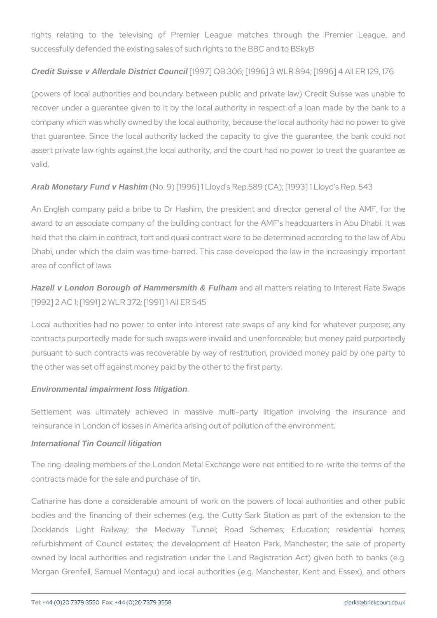rights relating to the televising of Premier League matches successfully defended the existing sales of such rights to the BBC and

Credit Suisse v Allerdale District Council [1997] QB 306; [1996] 3 WLR 894; [1996] 4

(powers of local authorities and boundary between public and priva recover under a guarantee given to it by the local authority in resp company which was wholly owned by the local authority, because the that guarantee. Since the local authority lacked the capacity to give assert private law rights against the local authority, and the court had valid.

Arab Monetary Fund v Hashim (No. 9) [1996] 1 Lloyd's Rep. 589 (CA); [1993] 1 L

An English company paid a bribe to Dr Hashim, the president and award to an associate company of the building contract for the AMF' held that the claim in contract, tort and quasi contract were to be det Dhabi, under which the claim was time-barred. This case developed area of conflict of laws

Hazell v London Borough of Hammersmith & Fulham and all matters relating to Intere [1992] 2 AC 1; [1991] 2 WLR 372; [1991] 1 All ER 545

Local authorities had no power to enter into interest rate swaps of contracts purportedly made for such swaps were invalid and unenforc pursuant to such contracts was recoverable by way of restitution, pi the other was set off against money paid by the other to the first part

Environmental impairment loss litigation .

Settlement was ultimately achieved in massive multi-party liti reinsurance in London of losses in America arising out of pollution of International Tin Council litigation

The ring-dealing members of the London Metal Exchange were not en contracts made for the sale and purchase of tin.

Catharine has done a considerable amount of work on the powers of bodies and the financing of their schemes (e.g. the Cutty Sark Station at the extension to the extension to the Docklands Light Railway; the Medway Tunnel; Road Schem refurbishment of Council estates; the development of Heaton Park, owned by local authorities and registration under the Land Registration Morgan Grenfell, Samuel Montagu) and local authorities (e.g. Mancl